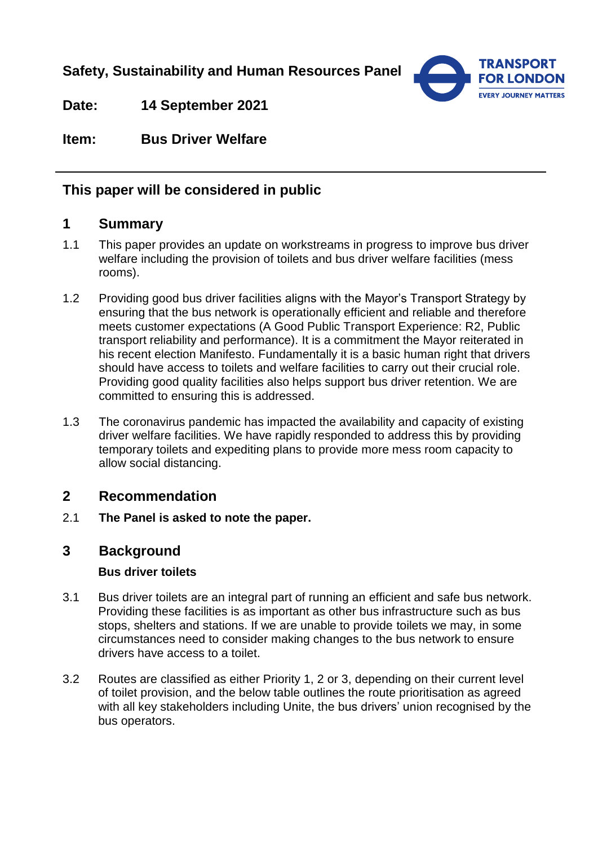**Safety, Sustainability and Human Resources Panel**



**Date: 14 September 2021**

**Item: Bus Driver Welfare**

# **This paper will be considered in public**

# **1 Summary**

- 1.1 This paper provides an update on workstreams in progress to improve bus driver welfare including the provision of toilets and bus driver welfare facilities (mess rooms).
- 1.2 Providing good bus driver facilities aligns with the Mayor's Transport Strategy by ensuring that the bus network is operationally efficient and reliable and therefore meets customer expectations (A Good Public Transport Experience: R2, Public transport reliability and performance). It is a commitment the Mayor reiterated in his recent election Manifesto. Fundamentally it is a basic human right that drivers should have access to toilets and welfare facilities to carry out their crucial role. Providing good quality facilities also helps support bus driver retention. We are committed to ensuring this is addressed.
- 1.3 The coronavirus pandemic has impacted the availability and capacity of existing driver welfare facilities. We have rapidly responded to address this by providing temporary toilets and expediting plans to provide more mess room capacity to allow social distancing.

## **2 Recommendation**

2.1 **The Panel is asked to note the paper.** 

## **3 Background**

### **Bus driver toilets**

- 3.1 Bus driver toilets are an integral part of running an efficient and safe bus network. Providing these facilities is as important as other bus infrastructure such as bus stops, shelters and stations. If we are unable to provide toilets we may, in some circumstances need to consider making changes to the bus network to ensure drivers have access to a toilet.
- 3.2 Routes are classified as either Priority 1, 2 or 3, depending on their current level of toilet provision, and the below table outlines the route prioritisation as agreed with all key stakeholders including Unite, the bus drivers' union recognised by the bus operators.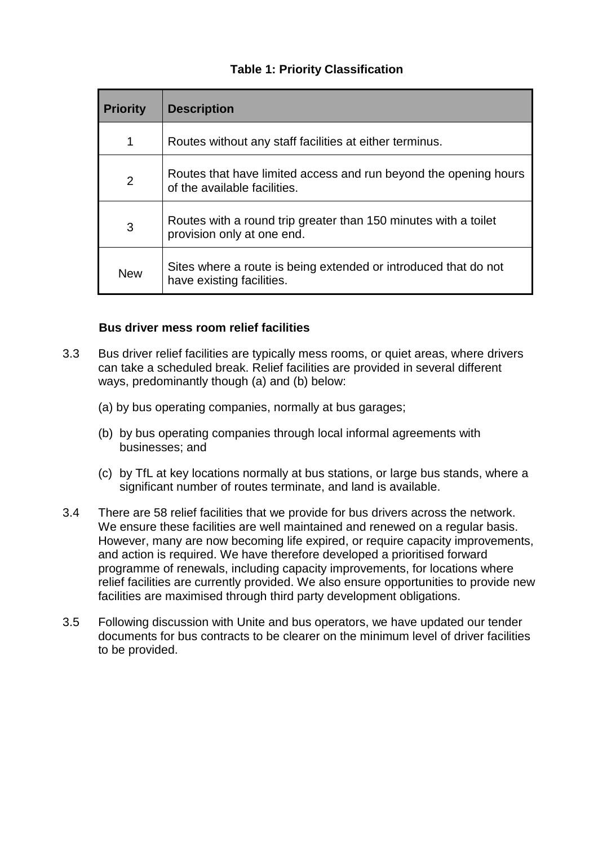### **Table 1: Priority Classification**

| <b>Priority</b> | <b>Description</b>                                                                               |
|-----------------|--------------------------------------------------------------------------------------------------|
| 1               | Routes without any staff facilities at either terminus.                                          |
| 2               | Routes that have limited access and run beyond the opening hours<br>of the available facilities. |
| 3               | Routes with a round trip greater than 150 minutes with a toilet<br>provision only at one end.    |
| <b>New</b>      | Sites where a route is being extended or introduced that do not<br>have existing facilities.     |

### **Bus driver mess room relief facilities**

- 3.3 Bus driver relief facilities are typically mess rooms, or quiet areas, where drivers can take a scheduled break. Relief facilities are provided in several different ways, predominantly though (a) and (b) below:
	- (a) by bus operating companies, normally at bus garages;
	- (b) by bus operating companies through local informal agreements with businesses; and
	- (c) by TfL at key locations normally at bus stations, or large bus stands, where a significant number of routes terminate, and land is available.
- 3.4 There are 58 relief facilities that we provide for bus drivers across the network. We ensure these facilities are well maintained and renewed on a regular basis. However, many are now becoming life expired, or require capacity improvements, and action is required. We have therefore developed a prioritised forward programme of renewals, including capacity improvements, for locations where relief facilities are currently provided. We also ensure opportunities to provide new facilities are maximised through third party development obligations.
- 3.5 Following discussion with Unite and bus operators, we have updated our tender documents for bus contracts to be clearer on the minimum level of driver facilities to be provided.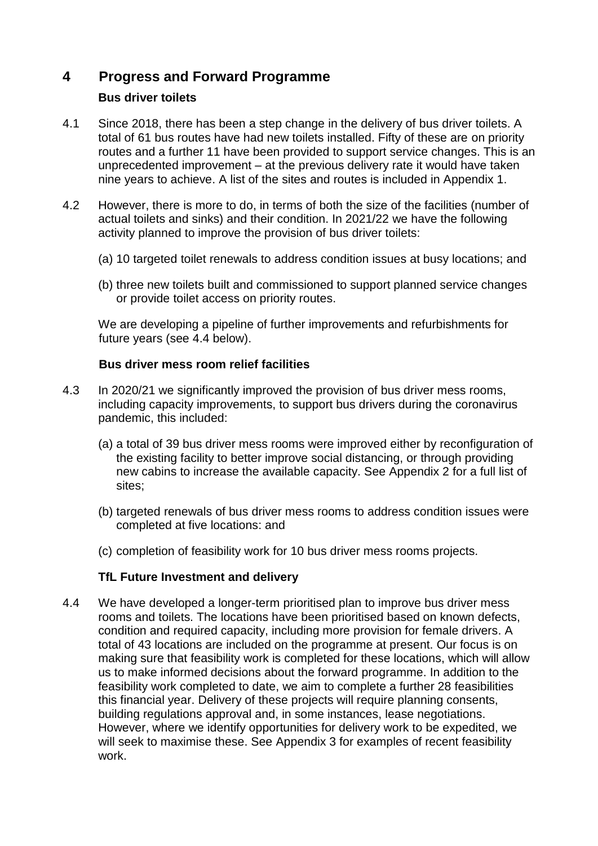# **4 Progress and Forward Programme**

## **Bus driver toilets**

- 4.1 Since 2018, there has been a step change in the delivery of bus driver toilets. A total of 61 bus routes have had new toilets installed. Fifty of these are on priority routes and a further 11 have been provided to support service changes. This is an unprecedented improvement – at the previous delivery rate it would have taken nine years to achieve. A list of the sites and routes is included in Appendix 1.
- 4.2 However, there is more to do, in terms of both the size of the facilities (number of actual toilets and sinks) and their condition. In 2021/22 we have the following activity planned to improve the provision of bus driver toilets:
	- (a) 10 targeted toilet renewals to address condition issues at busy locations; and
	- (b) three new toilets built and commissioned to support planned service changes or provide toilet access on priority routes.

We are developing a pipeline of further improvements and refurbishments for future years (see 4.4 below).

#### **Bus driver mess room relief facilities**

- 4.3 In 2020/21 we significantly improved the provision of bus driver mess rooms, including capacity improvements, to support bus drivers during the coronavirus pandemic, this included:
	- (a) a total of 39 bus driver mess rooms were improved either by reconfiguration of the existing facility to better improve social distancing, or through providing new cabins to increase the available capacity. See Appendix 2 for a full list of sites;
	- (b) targeted renewals of bus driver mess rooms to address condition issues were completed at five locations: and
	- (c) completion of feasibility work for 10 bus driver mess rooms projects.

### **TfL Future Investment and delivery**

4.4 We have developed a longer-term prioritised plan to improve bus driver mess rooms and toilets. The locations have been prioritised based on known defects, condition and required capacity, including more provision for female drivers. A total of 43 locations are included on the programme at present. Our focus is on making sure that feasibility work is completed for these locations, which will allow us to make informed decisions about the forward programme. In addition to the feasibility work completed to date, we aim to complete a further 28 feasibilities this financial year. Delivery of these projects will require planning consents, building regulations approval and, in some instances, lease negotiations. However, where we identify opportunities for delivery work to be expedited, we will seek to maximise these. See Appendix 3 for examples of recent feasibility work.